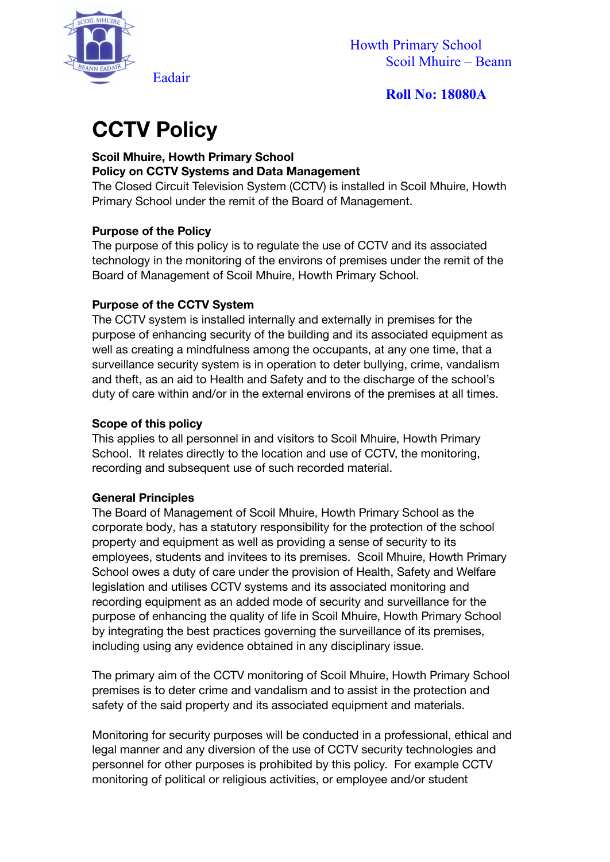

# **CCTV Policy**

#### **Scoil Mhuire, Howth Primary School Policy on CCTV Systems and Data Management**

The Closed Circuit Television System (CCTV) is installed in Scoil Mhuire, Howth Primary School under the remit of the Board of Management.

## **Purpose of the Policy**

The purpose of this policy is to regulate the use of CCTV and its associated technology in the monitoring of the environs of premises under the remit of the Board of Management of Scoil Mhuire, Howth Primary School.

## **Purpose of the CCTV System**

The CCTV system is installed internally and externally in premises for the purpose of enhancing security of the building and its associated equipment as well as creating a mindfulness among the occupants, at any one time, that a surveillance security system is in operation to deter bullying, crime, vandalism and theft, as an aid to Health and Safety and to the discharge of the school's duty of care within and/or in the external environs of the premises at all times.

#### **Scope of this policy**

This applies to all personnel in and visitors to Scoil Mhuire, Howth Primary School. It relates directly to the location and use of CCTV, the monitoring, recording and subsequent use of such recorded material.

#### **General Principles**

The Board of Management of Scoil Mhuire, Howth Primary School as the corporate body, has a statutory responsibility for the protection of the school property and equipment as well as providing a sense of security to its employees, students and invitees to its premises. Scoil Mhuire, Howth Primary School owes a duty of care under the provision of Health, Safety and Welfare legislation and utilises CCTV systems and its associated monitoring and recording equipment as an added mode of security and surveillance for the purpose of enhancing the quality of life in Scoil Mhuire, Howth Primary School by integrating the best practices governing the surveillance of its premises, including using any evidence obtained in any disciplinary issue.

The primary aim of the CCTV monitoring of Scoil Mhuire, Howth Primary School premises is to deter crime and vandalism and to assist in the protection and safety of the said property and its associated equipment and materials.

Monitoring for security purposes will be conducted in a professional, ethical and legal manner and any diversion of the use of CCTV security technologies and personnel for other purposes is prohibited by this policy. For example CCTV monitoring of political or religious activities, or employee and/or student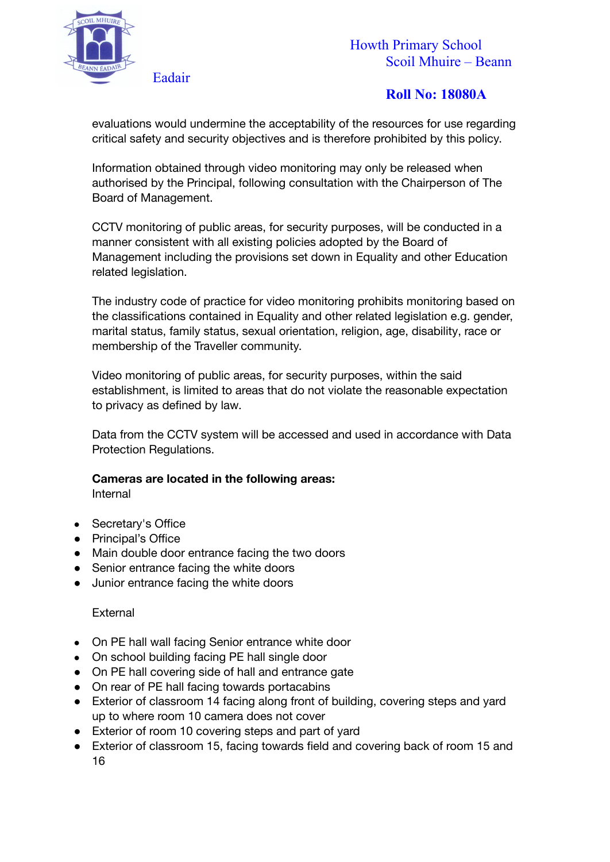

evaluations would undermine the acceptability of the resources for use regarding critical safety and security objectives and is therefore prohibited by this policy.

Information obtained through video monitoring may only be released when authorised by the Principal, following consultation with the Chairperson of The Board of Management.

CCTV monitoring of public areas, for security purposes, will be conducted in a manner consistent with all existing policies adopted by the Board of Management including the provisions set down in Equality and other Education related legislation.

The industry code of practice for video monitoring prohibits monitoring based on the classifications contained in Equality and other related legislation e.g. gender, marital status, family status, sexual orientation, religion, age, disability, race or membership of the Traveller community.

Video monitoring of public areas, for security purposes, within the said establishment, is limited to areas that do not violate the reasonable expectation to privacy as defined by law.

Data from the CCTV system will be accessed and used in accordance with Data Protection Regulations.

## **Cameras are located in the following areas:**

Internal

- Secretary's Office
- Principal's Office
- Main double door entrance facing the two doors
- Senior entrance facing the white doors
- Junior entrance facing the white doors

#### **External**

- On PE hall wall facing Senior entrance white door
- On school building facing PE hall single door
- On PE hall covering side of hall and entrance gate
- On rear of PE hall facing towards portacabins
- Exterior of classroom 14 facing along front of building, covering steps and yard up to where room 10 camera does not cover
- Exterior of room 10 covering steps and part of yard
- Exterior of classroom 15, facing towards field and covering back of room 15 and 16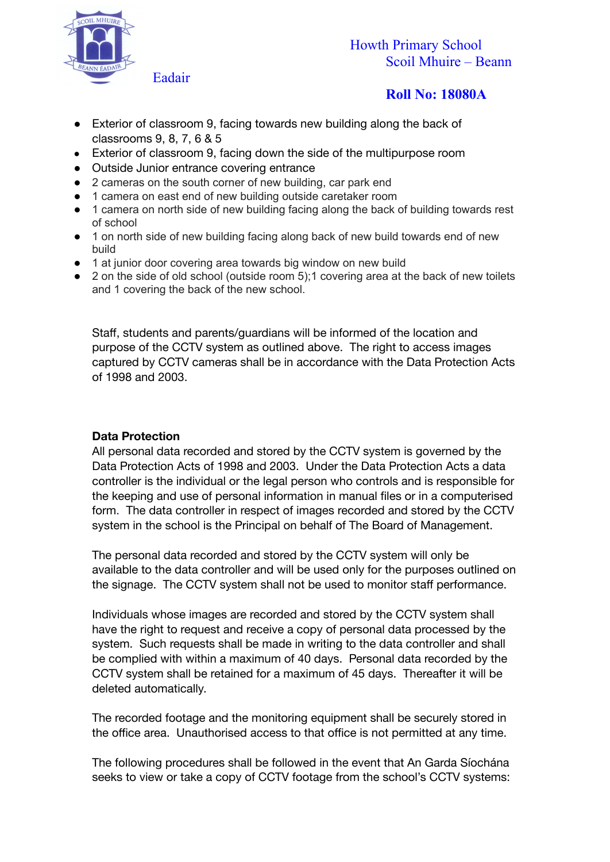

- Exterior of classroom 9, facing towards new building along the back of classrooms 9, 8, 7, 6 & 5
- Exterior of classroom 9, facing down the side of the multipurpose room
- Outside Junior entrance covering entrance
- 2 cameras on the south corner of new building, car park end
- 1 camera on east end of new building outside caretaker room
- 1 camera on north side of new building facing along the back of building towards rest of school
- 1 on north side of new building facing along back of new build towards end of new build
- 1 at junior door covering area towards big window on new build
- 2 on the side of old school (outside room 5);1 covering area at the back of new toilets and 1 covering the back of the new school.

Staff, students and parents/guardians will be informed of the location and purpose of the CCTV system as outlined above. The right to access images captured by CCTV cameras shall be in accordance with the Data Protection Acts of 1998 and 2003.

#### **Data Protection**

All personal data recorded and stored by the CCTV system is governed by the Data Protection Acts of 1998 and 2003. Under the Data Protection Acts a data controller is the individual or the legal person who controls and is responsible for the keeping and use of personal information in manual files or in a computerised form. The data controller in respect of images recorded and stored by the CCTV system in the school is the Principal on behalf of The Board of Management.

The personal data recorded and stored by the CCTV system will only be available to the data controller and will be used only for the purposes outlined on the signage. The CCTV system shall not be used to monitor staff performance.

Individuals whose images are recorded and stored by the CCTV system shall have the right to request and receive a copy of personal data processed by the system. Such requests shall be made in writing to the data controller and shall be complied with within a maximum of 40 days. Personal data recorded by the CCTV system shall be retained for a maximum of 45 days. Thereafter it will be deleted automatically.

The recorded footage and the monitoring equipment shall be securely stored in the office area. Unauthorised access to that office is not permitted at any time.

The following procedures shall be followed in the event that An Garda Síochána seeks to view or take a copy of CCTV footage from the school's CCTV systems: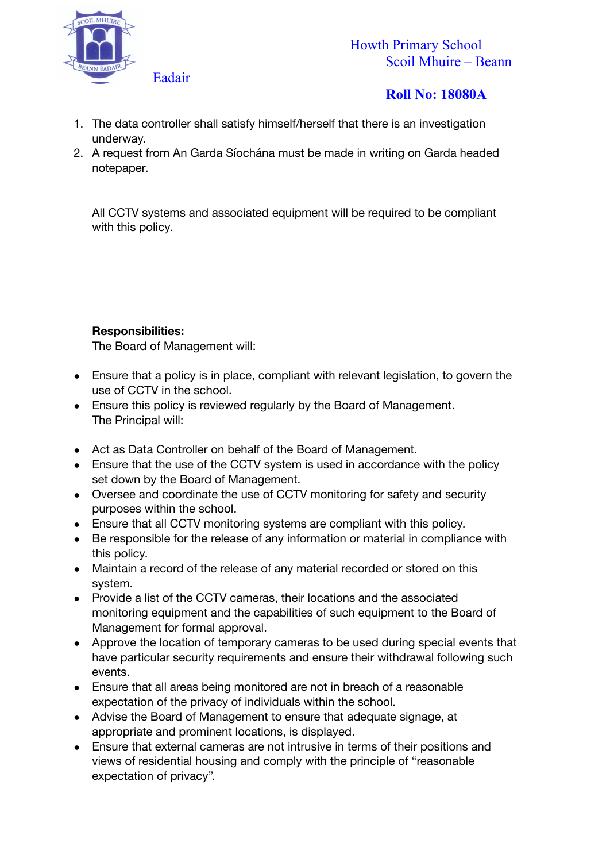

- 1. The data controller shall satisfy himself/herself that there is an investigation underway.
- 2. A request from An Garda Síochána must be made in writing on Garda headed notepaper.

All CCTV systems and associated equipment will be required to be compliant with this policy.

## **Responsibilities:**

The Board of Management will:

- Ensure that a policy is in place, compliant with relevant legislation, to govern the use of CCTV in the school.
- Ensure this policy is reviewed regularly by the Board of Management. The Principal will:
- Act as Data Controller on behalf of the Board of Management.
- Ensure that the use of the CCTV system is used in accordance with the policy set down by the Board of Management.
- Oversee and coordinate the use of CCTV monitoring for safety and security purposes within the school.
- Ensure that all CCTV monitoring systems are compliant with this policy.
- Be responsible for the release of any information or material in compliance with this policy.
- Maintain a record of the release of any material recorded or stored on this system.
- Provide a list of the CCTV cameras, their locations and the associated monitoring equipment and the capabilities of such equipment to the Board of Management for formal approval.
- Approve the location of temporary cameras to be used during special events that have particular security requirements and ensure their withdrawal following such events.
- Ensure that all areas being monitored are not in breach of a reasonable expectation of the privacy of individuals within the school.
- Advise the Board of Management to ensure that adequate signage, at appropriate and prominent locations, is displayed.
- Ensure that external cameras are not intrusive in terms of their positions and views of residential housing and comply with the principle of "reasonable expectation of privacy".